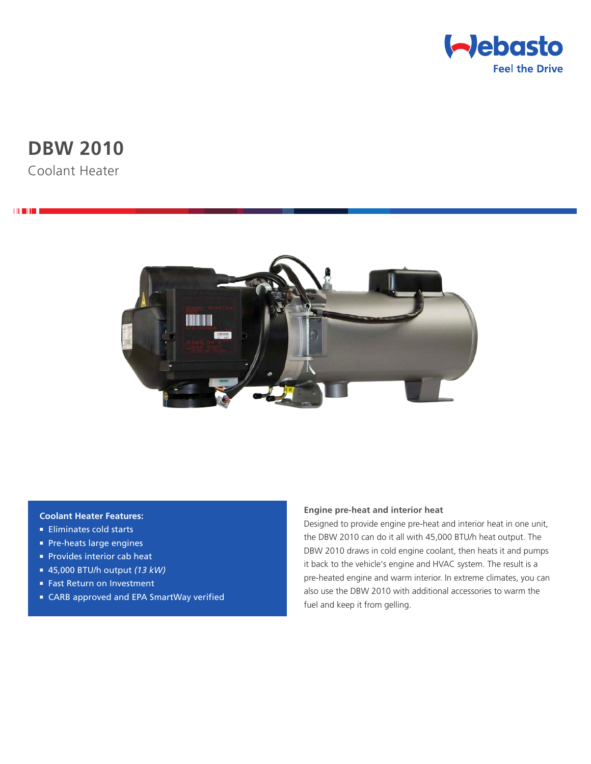

# **DBW 2010**

Coolant Heater

**THEFT** 



## **Coolant Heater Features:**

- **Eliminates cold starts**
- **Pre-heats large engines**
- **Provides interior cab heat**
- <sup>n</sup> 45,000 BTU/h output *(13 kW)*
- Fast Return on Investment
- CARB approved and EPA SmartWay verified

### **Engine pre-heat and interior heat**

Designed to provide engine pre-heat and interior heat in one unit, the DBW 2010 can do it all with 45,000 BTU/h heat output. The DBW 2010 draws in cold engine coolant, then heats it and pumps it back to the vehicle's engine and HVAC system. The result is a pre-heated engine and warm interior. In extreme climates, you can also use the DBW 2010 with additional accessories to warm the fuel and keep it from gelling.